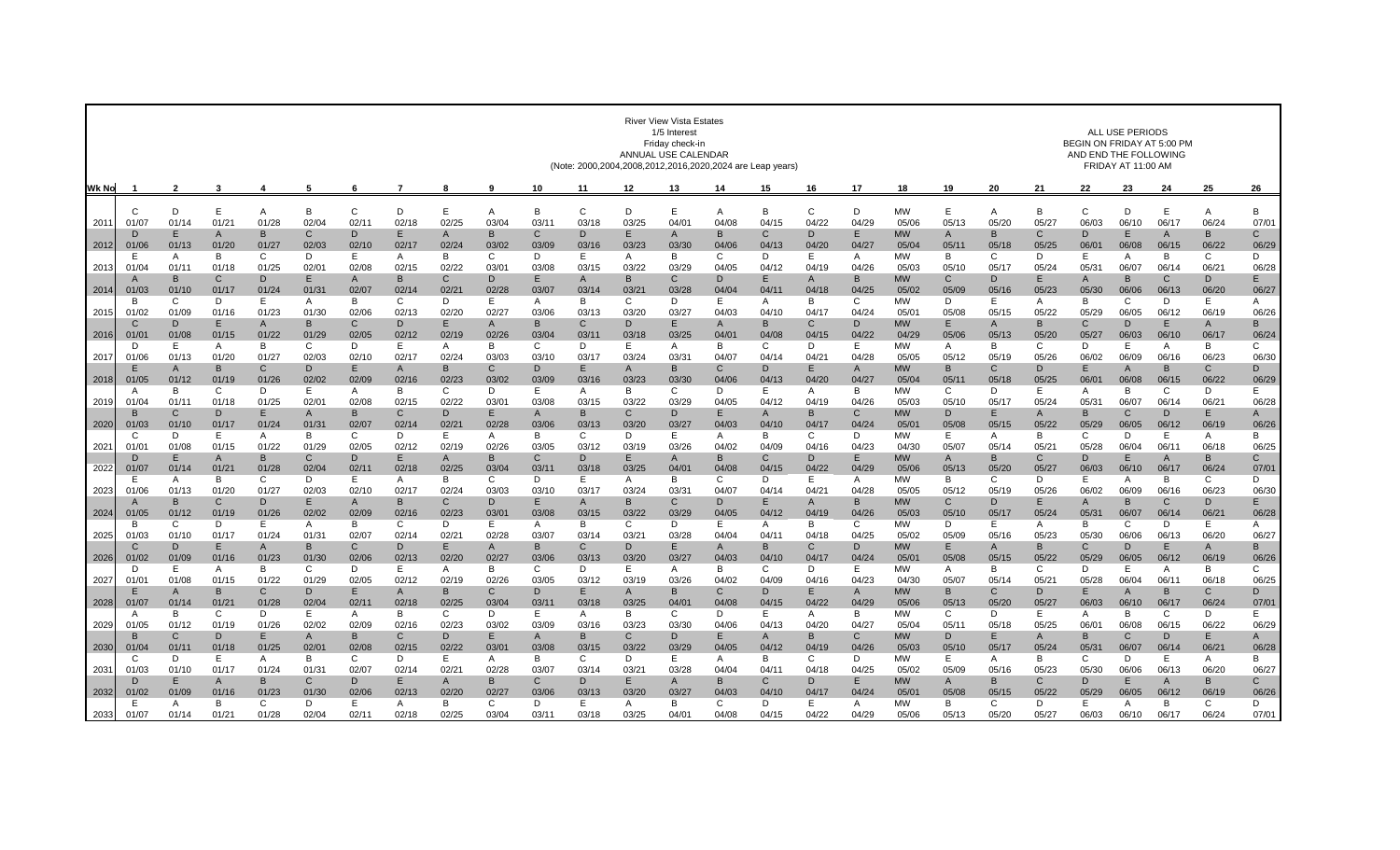|              |                       | <b>River View Vista Estates</b><br>1/5 Interest<br>Friday check-in<br>ANNUAL USE CALENDAR<br>(Note: 2000,2004,2008,2012,2016,2020,2024 are Leap years) |                       |                       |             |                       |                         |             |                       |                       |                       |               |                       |            |                       | <b>ALL USE PERIODS</b><br>BEGIN ON FRIDAY AT 5:00 PM<br>AND END THE FOLLOWING<br>FRIDAY AT 11:00 AM |                       |                                |             |             |            |                      |                         |                        |                       |                       |
|--------------|-----------------------|--------------------------------------------------------------------------------------------------------------------------------------------------------|-----------------------|-----------------------|-------------|-----------------------|-------------------------|-------------|-----------------------|-----------------------|-----------------------|---------------|-----------------------|------------|-----------------------|-----------------------------------------------------------------------------------------------------|-----------------------|--------------------------------|-------------|-------------|------------|----------------------|-------------------------|------------------------|-----------------------|-----------------------|
| <b>Wk No</b> |                       | $\mathbf{2}$                                                                                                                                           | $\mathbf{3}$          | 4                     | 5           | 6                     |                         | 8           | 9                     | 10                    | 11                    | 12            | 13                    | 14         | 15                    | 16                                                                                                  | 17                    | 18                             | 19          | 20          | 21         | 22                   | 23                      | 24                     | 25                    | 26                    |
|              | $\cap$                | D                                                                                                                                                      | E                     | A                     | B           | C                     | D                       | E           | A                     | B                     | $\mathsf{C}$          | D             |                       | A          | B                     | $\mathsf{C}$                                                                                        | D                     | <b>MW</b>                      | E           | Α           | B          | C                    | D                       | E                      | A                     | В                     |
| 201'         | 01/07                 | 01/1                                                                                                                                                   | 01/21                 | 01/28                 | 02/04       | 02/1                  | 02'                     | 02/25       | 03/04                 | 03/1                  | 03/18                 | 03/25         | 04/0'                 | 04/08      | 04/1                  | 04/22                                                                                               | 04/29                 | 05/06                          | 05/13       | 05/20       | 05/27      | 06/03                | 06/10                   | 06/1                   | 06/24                 | 07/0                  |
| 2012         | D<br>01/06            | E<br>01/13                                                                                                                                             | A<br>01/20            | B<br>01/27            | C<br>02/03  | D<br>02/10            | Е<br>02/17              | A<br>02/2   | в<br>03/02            | C.<br>03/09           | D<br>03/16            | E.<br>03/23   | A<br>03/30            | B<br>04/06 | C<br>04/13            | D<br>04/20                                                                                          | E<br>04/27            | <b>MW</b><br>05/04             | A<br>05/1   | в<br>05/18  | C<br>05/25 | D<br>06/0            | Е<br>06/08              | A<br>06/1              | B<br>06/22            | $\mathsf{C}$<br>06/29 |
|              | F                     | A                                                                                                                                                      | B                     | C                     | D           | F.                    | A                       | B           | C                     | D                     | E                     | A             | B                     | C          | D                     | E                                                                                                   | A                     | MW                             | B           | C           | D.         | Е                    | A                       | B                      | C                     | D                     |
| 2013         | 01/04<br>$\mathsf{A}$ | 01/1<br><sub>B</sub>                                                                                                                                   | 01/18<br>C            | 01/25<br>D            | 02/01<br>F. | 02/08<br>A            | 02/15<br><b>B</b>       | 02/22<br>C. | 03/0<br>D             | 03/08<br>Е            | 03/15<br>$\mathsf{A}$ | 03/22<br>R.   | 03/29<br>C            | 04/05<br>D | 04/12<br>F            | 04/19<br>A                                                                                          | 04/26<br>B            | 05/03<br><b>MW</b>             | 05/10<br>C  | 05/17<br>D  | 05/24<br>Е | 05/3<br>A            | 06/07<br>B              | 06/1<br>C              | 06/21<br>D            | 06/28<br>E            |
| 2014         | 01/03                 | 01/1                                                                                                                                                   | 01/17                 | 01/24                 | 01/31       | 02/07                 | 02/14                   | 02/2        | 02/28                 | 03/07                 | 03/14                 | 03/2          | 03/28                 | 04/04      | 04/1                  | 04/18                                                                                               | 04/25                 | 05/02                          | 05/09       | 05/16       | 05/23      | 05/30                | 06/06                   | 06/13                  | 06/20                 | 06/27                 |
|              | <sub>R</sub>          | $\mathsf{C}$                                                                                                                                           | D                     | E.                    | A           | <sub>R</sub>          | C                       | D           | E                     | A                     | <sub>R</sub>          | C             | D                     | E          | A                     | B                                                                                                   | C                     | <b>MW</b>                      | D           | E           | A          | <sub>B</sub>         | C                       | D                      | E                     | A                     |
| 2015         | 01/02<br>C            | 01/09<br>D                                                                                                                                             | 01/16<br>E            | 01/23<br>$\mathsf{A}$ | 01/30<br>R. | 02/06<br>C.           | 02/13<br>D              | 02/20<br>Е  | 02/27<br>A            | 03/06<br><sub>R</sub> | 03/13<br>C            | 03/20<br>D    | 03/27                 | 04/03<br>A | 04/10<br>B            | 04/17<br>C                                                                                          | 04/24<br>D.           | 05/0 <sup>1</sup><br><b>MW</b> | 05/08<br>E. | 05/15<br>A  | 05/22<br>в | 05/29<br>C.          | 06/05<br>D              | 06/12<br>E             | 06/19<br>$\mathsf{A}$ | 06/26<br>B            |
| 2016         | 01/0                  | 01/08                                                                                                                                                  | 01/15                 | 01/22                 | 01/29       | 02/05                 | 02/12                   | 02/19       | 02/26                 | 03/04                 | 03/11                 | 03/18         | 03/25                 | 04/01      | 04/08                 | 04/15                                                                                               | 04/22                 | 04/29                          | 05/06       | 05/13       | 05/20      | 05/27                | 06/03                   | 06/10                  | 06/17                 | 06/24                 |
|              | D                     | E                                                                                                                                                      | $\mathsf{A}$          | B                     | C           | D                     | E                       | A           | B                     | C                     | D                     | E             | A                     | B          | C                     | D                                                                                                   | E                     | <b>MW</b>                      | A           | B           | C          | D                    | E                       | $\overline{A}$         | B                     | C                     |
| 2017         | 01/06<br>F.           | 01/13<br>A                                                                                                                                             | 01/20<br>B            | 01/27<br>C            | 02/03<br>D. | 02/10<br>F            | 02/17<br>А              | 02/24<br>B. | 03/03<br>$\mathsf{C}$ | 03/10<br>D            | 03/17<br>E            | 03/24<br>A    | 03/31<br><sub>R</sub> | 04/07<br>C | 04/14<br>D            | 04/21<br>E                                                                                          | 04/28<br>A            | 05/05<br><b>MW</b>             | 05/12<br>B  | 05/19<br>C. | 05/26<br>D | 06/02<br>F           | 06/09<br>A              | 06/16<br>B             | 06/23<br>C            | 06/30<br>D            |
| 2018         | 01/05                 | 01/12                                                                                                                                                  | 01/19                 | 01/26                 | 02/02       | 02/09                 | 02/16                   | 02/23       | 03/02                 | 03/09                 | 03/16                 | 03/23         | 03/30                 | 04/06      | 04/13                 | 04/20                                                                                               | 04/27                 | 05/04                          | 05/11       | 05/18       | 05/25      | 06/01                | 06/08                   | 06/15                  | 06/22                 | 06/29                 |
|              | A                     | B                                                                                                                                                      | C                     | D                     | E.          | A                     | B                       | C           | D                     | E.                    | A                     | В             | C                     | D          | E                     | A                                                                                                   | B                     | <b>MW</b>                      | C           | D           | Ε.         | A                    | B                       | C                      | D                     | E                     |
| 2019         | 01/04<br>в            | 01/1<br>C.                                                                                                                                             | 01/18<br>D            | 01/25<br>E            | 02/0<br>A   | 02/08<br>B.           | 02/15<br>C              | 02/22<br>D  | 03/0<br>F             | 03/08<br>A            | 03/15<br><sub>B</sub> | 03/22<br>C    | 03/29<br>D            | 04/05<br>Е | 04/12<br>$\mathsf{A}$ | 04/19<br><sub>R</sub>                                                                               | 04/26<br>C            | 05/03<br><b>MW</b>             | 05/10<br>D. | 05/17<br>F  | 05/24<br>A | 05/3<br><sub>B</sub> | 06/07<br>C              | 06/1<br>D              | 06/21<br>F            | 06/28<br>A            |
| 2020         | 01/03                 | 01/10                                                                                                                                                  | 01/17                 | 01/24                 | 01/31       | 02/07                 | 02/14                   | 02/2        | 02/28                 | 03/06                 | 03/13                 | 03/20         | 03/27                 | 04/03      | 04/10                 | 04/17                                                                                               | 04/24                 | 05/0 <sup>1</sup>              | 05/08       | 05/15       | 05/22      | 05/29                | 06/05                   | 06/12                  | 06/19                 | 06/26                 |
|              | C                     | D                                                                                                                                                      | Е                     | A                     | B           | C.                    | D                       | E           | A                     | B                     | $\mathsf{C}$          | D             | F                     | A          | B                     | C                                                                                                   | D                     | <b>MW</b>                      | E           | A           | B          | C                    | D                       | E                      | A                     | B                     |
| 202'         | 01/01<br>D            | 01/08<br>E                                                                                                                                             | 01/15<br>$\mathsf{A}$ | 01/22<br><sub>B</sub> | 01/29<br>C  | 02/05<br>D            | 02/12<br>F              | 02/19<br>A  | 02/26<br>в            | 03/05<br>C.           | 03/12<br>D            | 03/19<br>E    | 03/26<br>A            | 04/02<br>B | 04/09<br>C.           | 04/16<br>D                                                                                          | 04/23<br>Е            | 04/30<br><b>MW</b>             | 05/07<br>A  | 05/14<br>R  | 05/21<br>C | 05/28<br>D           | 06/04<br>Е              | 06/1<br>$\overline{A}$ | 06/18<br>B            | 06/25<br>$\mathsf{C}$ |
| 2022         | 01/0                  | 01/1                                                                                                                                                   | 01/21                 | 01/28                 | 02/04       | 02/1                  | 02/18                   | 02/25       | 03/04                 | 03/11                 | 03/18                 | 03/25         | 04/0                  | 04/08      | 04/1                  | 04/22                                                                                               | 04/29                 | 05/06                          | 05/13       | 05/20       | 05/27      | 06/03                | 06/10                   | 06/1                   | 06/24                 | 07/0                  |
|              | Е                     | A                                                                                                                                                      | B                     | $\mathsf{C}$          | D           | Е                     | A                       | B           | C                     | D                     | E                     | Α             | B                     | C          | D                     | E                                                                                                   | A                     | <b>MW</b>                      | В           | C           | D          | E                    | A                       | B                      | C                     | D                     |
| 2023         | 01/06<br>A            | 01/13<br>B                                                                                                                                             | 01/20<br>C            | 01/27<br>D            | 02/03<br>E. | 02/10<br>A            | 02/17<br>B              | 02/24<br>C  | 03/03<br>D            | 03/10<br>E.           | 03/17<br>$\mathsf{A}$ | 03/24<br>B    | 03/31<br>C.           | 04/07<br>D | 04/14<br>E            | $04/2^3$<br>A                                                                                       | 04/28<br>B            | 05/05<br><b>MW</b>             | 05/12<br>C  | 05/19<br>D  | 05/26<br>Е | 06/02<br>A           | 06/09<br>B              | 06/16<br>C             | 06/23<br>D            | 06/30<br>E            |
| 2024         | 01/05                 | 01/12                                                                                                                                                  | 01/19                 | 01/26                 | 02/02       | 02/09                 | 02/16                   | 02/23       | 03/0                  | 03/08                 | 03/15                 | 03/22         | 03/29                 | 04/05      | 04/12                 | 04/19                                                                                               | 04/26                 | 05/03                          | 05/10       | 05/17       | 05/24      | 05/3'                | 06/07                   | 06/1                   | 06/21                 | 06/28                 |
|              | <sub>R</sub>          | C                                                                                                                                                      | D                     | E.                    | A           | B                     | C                       | D           | Е                     | A                     | B                     | C             | D                     | E.         | A                     | в                                                                                                   | C                     | MW                             | D           | E           | A          | B                    | C                       | D                      | Ε                     | A                     |
| 2025         | 01/03<br>C.           | 01/10<br>D                                                                                                                                             | 01/17<br>E            | 01/24<br>A            | 01/31<br>B  | 02/07<br>C            | 02/14<br>D              | 02/2'<br>E. | 02/28<br>$\mathsf{A}$ | 03/07<br>B            | 03/14<br>C            | $03/2^7$<br>D | 03/28<br>E            | 04/04      | 04/1'<br>B            | 04/18<br>C.                                                                                         | 04/25<br>D.           | 05/02<br><b>MW</b>             | 05/09<br>E  | 05/16<br>A  | 05/23<br>B | 05/30<br>C           | 06/06<br>D              | 06/13<br>E             | 06/20                 | 06/27<br>B            |
| 2026         | 01/02                 | 01/09                                                                                                                                                  | 01/16                 | 01/23                 | 01/30       | 02/06                 | 02/13                   | 02/20       | 02/27                 | 03/06                 | 03/13                 | 03/20         | 03/27                 | A<br>04/03 | 04/10                 | 04/1                                                                                                | 04/24                 | 05/01                          | 05/08       | 05/15       | 05/22      | 05/29                | 06/05                   | 06/12                  | A<br>06/19            | 06/26                 |
|              | D                     | E                                                                                                                                                      | A                     | B                     | C           | D                     | Е                       | A           | B                     | C                     | D                     | E.            | A                     | B          | C                     | D                                                                                                   | E                     | MW                             | A           | B           | C          | D                    | Е                       | A                      | B                     | C                     |
| 2027         | 01/01<br>F            | 01/08                                                                                                                                                  | 01/15                 | 01/22<br>$\mathsf{C}$ | 01/29<br>D. | 02/05<br>F            | 02/12                   | 02/19       | 02/26                 | 03/05<br>D            | 03/12<br>E.           | 03/19         | 03/26<br><sub>R</sub> | 04/02      | 04/09<br>D            | 04/16                                                                                               | 04/23                 | 04/30                          | 05/07       | 05/14       | 05/21<br>D | 05/28<br>F           | 06/04                   | 06/1<br>B              | 06/18<br>$\mathsf{C}$ | 06/25<br>D            |
| 2028         | 01/07                 | $\overline{A}$<br>01/14                                                                                                                                | B<br>01/21            | 01/28                 | 02/04       | 02/11                 | $\overline{A}$<br>02/18 | B<br>02/25  | C.<br>03/04           | 03/11                 | 03/18                 | A<br>03/25    | 04/0'                 | C<br>04/08 | 04/15                 | Е<br>04/22                                                                                          | $\mathsf{A}$<br>04/29 | <b>MW</b><br>05/06             | B<br>05/13  | C.<br>05/20 | 05/27      | 06/03                | $\overline{A}$<br>06/10 | 06/1                   | 06/24                 | 07/0                  |
|              | A                     | <sub>B</sub>                                                                                                                                           | C                     | D                     | E           | A                     | B                       | C           | D                     | E                     | A                     | B             | C                     | D          | F                     | А                                                                                                   | B                     | <b>MW</b>                      | C           | D           | E          | A                    | B                       | C                      | D                     | E                     |
| 2029         | 01/05                 | 01/12                                                                                                                                                  | 01/19                 | 01/26                 | 02/02       | 02/09                 | 02/16                   | 02/23       | 03/02                 | 03/09                 | 03/16                 | 03/23         | 03/30                 | 04/06      | 04/13                 | 04/20                                                                                               | 04/27                 | 05/04                          | 05/11       | 05/18       | 05/25      | 06/0                 | 06/08                   | 06/15                  | 06/22                 | 06/29                 |
| 2030         | B<br>01/04            | C<br>01/1                                                                                                                                              | D<br>01/18            | E<br>01/25            | A<br>02/01  | B<br>02/08            | C<br>02/15              | D.<br>02/22 | Е<br>03/0             | A<br>03/08            | B<br>03/15            | C<br>03/22    | D<br>03/29            | Е<br>04/05 | A<br>04/12            | B<br>04/19                                                                                          | C<br>04/26            | <b>MW</b><br>05/03             | D<br>05/10  | E<br>05/17  | A<br>05/24 | B<br>05/3'           | C<br>06/07              | D<br>06/14             | E<br>06/21            | A<br>06/28            |
|              | C                     | D                                                                                                                                                      | Е                     | A                     | B           | C.                    | D                       | E           | A                     | B                     | C                     | D             | E                     | A          | B                     | C                                                                                                   | D                     | MW                             | Е           | A           | B          | C                    | D                       | Ε                      | A                     | В                     |
| 203'         | 01/03                 | 01/10                                                                                                                                                  | 01/17                 | 01/24                 | 01/31       | 02/07                 | 02/14                   | 02/2'       | 02/28                 | 03/07                 | 03/14                 | 03/2          | 03/28                 | 04/04      | 04/11                 | 04/18                                                                                               | 04/25                 | 05/02                          | 05/09       | 05/16       | 05/23      | 05/30                | 06/06                   | 06/13                  | 06/20                 | 06/27                 |
| 2032         | D<br>01/02            | E<br>01/09                                                                                                                                             | $\mathsf{A}$<br>01/16 | <sub>B</sub><br>01/23 | C<br>01/30  | <sub>D</sub><br>02/06 | F<br>02/13              | A<br>02/20  | B<br>02/27            | $\mathsf{C}$<br>03/06 | D<br>03/13            | E<br>03/20    | A<br>03/27            | B<br>04/03 | C<br>04/10            | D<br>04/17                                                                                          | E<br>04/24            | <b>MW</b><br>05/01             | A<br>05/08  | R<br>05/15  | C<br>05/22 | D<br>05/29           | Е<br>06/05              | A<br>06/12             | B<br>06/19            | C<br>06/26            |
|              | F                     | A                                                                                                                                                      | B                     | C                     | D           | F.                    | A                       | B           | C                     | D                     | E                     | A             | B                     | C          | D                     | E                                                                                                   | A                     | <b>MW</b>                      | В           | C           | D          | F                    | A                       | B                      | C                     | D                     |
| 2033         | 01/07                 | 01/14                                                                                                                                                  | 01/21                 | 01/28                 | 02/04       | 02/11                 | 02/18                   | 02/25       | 03/04                 | 03/11                 | 03/18                 | 03/25         | 04/01                 | 04/08      | 04/15                 | 04/22                                                                                               | 04/29                 | 05/06                          | 05/13       | 05/20       | 05/27      | 06/03                | 06/10                   | 06/17                  | 06/24                 | 07/01                 |